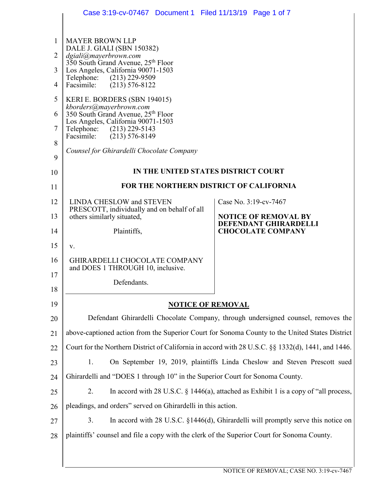|                | Case 3:19-cv-07467 Document 1 Filed 11/13/19 Page 1 of 7                                              |                                                                                         |
|----------------|-------------------------------------------------------------------------------------------------------|-----------------------------------------------------------------------------------------|
|                |                                                                                                       |                                                                                         |
| $\mathbf{1}$   | <b>MAYER BROWN LLP</b>                                                                                |                                                                                         |
| $\overline{2}$ | DALE J. GIALI (SBN 150382)<br>dgiali@mayerbrown.com<br>350 South Grand Avenue, 25 <sup>th</sup> Floor |                                                                                         |
| 3              | Los Angeles, California 90071-1503<br>Telephone: (213) 229-9509                                       |                                                                                         |
| $\overline{4}$ | $(213)$ 576-8122<br>Facsimile:                                                                        |                                                                                         |
| 5              | KERI E. BORDERS (SBN 194015)<br>kborders@mayerbrown.com                                               |                                                                                         |
| 6              | 350 South Grand Avenue, 25th Floor<br>Los Angeles, California 90071-1503                              |                                                                                         |
| 7              | Telephone: (213) 229-5143<br>Facsimile: (213) 576-8149                                                |                                                                                         |
| 8              | Counsel for Ghirardelli Chocolate Company                                                             |                                                                                         |
| 9              |                                                                                                       |                                                                                         |
| 10             | IN THE UNITED STATES DISTRICT COURT                                                                   |                                                                                         |
| 11             | FOR THE NORTHERN DISTRICT OF CALIFORNIA                                                               |                                                                                         |
| 12             | <b>LINDA CHESLOW and STEVEN</b><br>PRESCOTT, individually and on behalf of all                        | Case No. 3:19-cv-7467                                                                   |
| 13             | others similarly situated,                                                                            | <b>NOTICE OF REMOVAL BY</b><br>DEFENDANT GHIRARDELLI                                    |
| 14             | Plaintiffs,                                                                                           | <b>CHOCOLATE COMPANY</b>                                                                |
| 15             | V.                                                                                                    |                                                                                         |
| 16             | <b>GHIRARDELLI CHOCOLATE COMPANY</b><br>and DOES 1 THROUGH 10, inclusive.                             |                                                                                         |
| 17             | Defendants.                                                                                           |                                                                                         |
| 18             |                                                                                                       |                                                                                         |
| 19             | <b>NOTICE OF REMOVAL</b>                                                                              |                                                                                         |
| 20             | Defendant Ghirardelli Chocolate Company, through undersigned counsel, removes the                     |                                                                                         |
| 21             | above-captioned action from the Superior Court for Sonoma County to the United States District        |                                                                                         |
| 22             | Court for the Northern District of California in accord with 28 U.S.C. §§ 1332(d), 1441, and 1446.    |                                                                                         |
| 23             | On September 19, 2019, plaintiffs Linda Cheslow and Steven Prescott sued<br>1.                        |                                                                                         |
| 24             | Ghirardelli and "DOES 1 through 10" in the Superior Court for Sonoma County.                          |                                                                                         |
| 25             | 2.                                                                                                    | In accord with 28 U.S.C. $\S$ 1446(a), attached as Exhibit 1 is a copy of "all process, |
| 26             | pleadings, and orders" served on Ghirardelli in this action.                                          |                                                                                         |
| 27             | 3.                                                                                                    | In accord with $28$ U.S.C. $\S$ 1446(d), Ghirardelli will promptly serve this notice on |
| 28             | plaintiffs' counsel and file a copy with the clerk of the Superior Court for Sonoma County.           |                                                                                         |
|                |                                                                                                       |                                                                                         |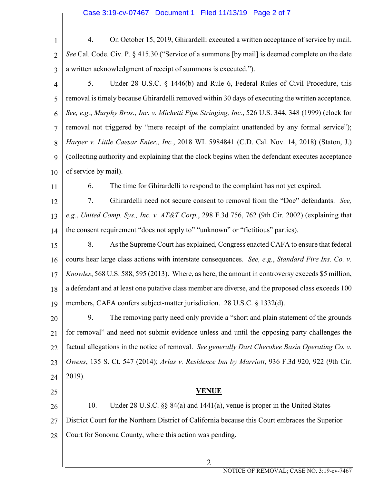- 1  $\overline{2}$ 3 4 5 6 7 8 9 10 11 12 13 14 15 16 17 18 19 20 21 22 23 4. On October 15, 2019, Ghirardelli executed a written acceptance of service by mail. *See* Cal. Code. Civ. P. § 415.30 ("Service of a summons [by mail] is deemed complete on the date a written acknowledgment of receipt of summons is executed."). 5. Under 28 U.S.C. § 1446(b) and Rule 6, Federal Rules of Civil Procedure, this removal is timely because Ghirardelli removed within 30 days of executing the written acceptance. *See, e.g.*, *Murphy Bros., Inc. v. Michetti Pipe Stringing, Inc.*, 526 U.S. 344, 348 (1999) (clock for removal not triggered by "mere receipt of the complaint unattended by any formal service"); *Harper v. Little Caesar Enter., Inc.*, 2018 WL 5984841 (C.D. Cal. Nov. 14, 2018) (Staton, J.) (collecting authority and explaining that the clock begins when the defendant executes acceptance of service by mail). 6. The time for Ghirardelli to respond to the complaint has not yet expired. 7. Ghirardelli need not secure consent to removal from the "Doe" defendants. *See, e.g.*, *United Comp. Sys., Inc. v. AT&T Corp.*, 298 F.3d 756, 762 (9th Cir. 2002) (explaining that the consent requirement "does not apply to" "unknown" or "fictitious" parties). 8. As the Supreme Court has explained, Congress enacted CAFA to ensure that federal courts hear large class actions with interstate consequences. *See, e.g.*, *Standard Fire Ins. Co. v. Knowles*, 568 U.S. 588, 595 (2013). Where, as here, the amount in controversy exceeds \$5 million, a defendant and at least one putative class member are diverse, and the proposed class exceeds 100 members, CAFA confers subject-matter jurisdiction. 28 U.S.C. § 1332(d). 9. The removing party need only provide a "short and plain statement of the grounds for removal" and need not submit evidence unless and until the opposing party challenges the factual allegations in the notice of removal. *See generally Dart Cherokee Basin Operating Co. v. Owens*, 135 S. Ct. 547 (2014); *Arias v. Residence Inn by Marriott*, 936 F.3d 920, 922 (9th Cir.
- 25

 $24$ 

2019).

#### **VENUE**

26 27 28 10. Under 28 U.S.C. §§ 84(a) and 1441(a), venue is proper in the United States District Court for the Northern District of California because this Court embraces the Superior Court for Sonoma County, where this action was pending.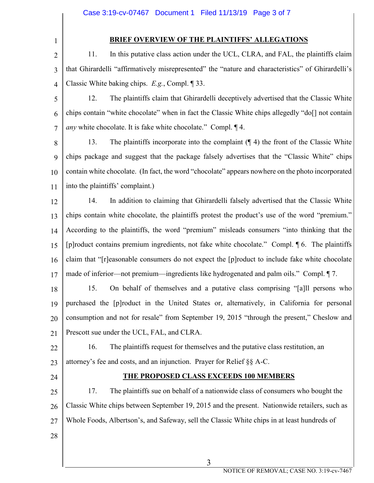1

### **BRIEF OVERVIEW OF THE PLAINTIFFS' ALLEGATIONS**

2 3 4 11. In this putative class action under the UCL, CLRA, and FAL, the plaintiffs claim that Ghirardelli "affirmatively misrepresented" the "nature and characteristics" of Ghirardelli's Classic White baking chips. *E.g.*, Compl. ¶ 33.

5 6 7 12. The plaintiffs claim that Ghirardelli deceptively advertised that the Classic White chips contain "white chocolate" when in fact the Classic White chips allegedly "do[] not contain *any* white chocolate. It is fake white chocolate." Compl. ¶ 4.

8 9 10 11 13. The plaintiffs incorporate into the complaint (¶ 4) the front of the Classic White chips package and suggest that the package falsely advertises that the "Classic White" chips contain white chocolate. (In fact, the word "chocolate" appears nowhere on the photo incorporated into the plaintiffs' complaint.)

12 13 14 15 16 17 14. In addition to claiming that Ghirardelli falsely advertised that the Classic White chips contain white chocolate, the plaintiffs protest the product's use of the word "premium." According to the plaintiffs, the word "premium" misleads consumers "into thinking that the [p]roduct contains premium ingredients, not fake white chocolate." Compl. ¶ 6. The plaintiffs claim that "[r]easonable consumers do not expect the [p]roduct to include fake white chocolate made of inferior—not premium—ingredients like hydrogenated and palm oils." Compl. ¶ 7.

18 19 20 21 15. On behalf of themselves and a putative class comprising "[a]ll persons who purchased the [p]roduct in the United States or, alternatively, in California for personal consumption and not for resale" from September 19, 2015 "through the present," Cheslow and Prescott sue under the UCL, FAL, and CLRA.

22

16. The plaintiffs request for themselves and the putative class restitution, an attorney's fee and costs, and an injunction. Prayer for Relief §§ A-C.

24

23

## **THE PROPOSED CLASS EXCEEDS 100 MEMBERS**

25 26 27 17. The plaintiffs sue on behalf of a nationwide class of consumers who bought the Classic White chips between September 19, 2015 and the present. Nationwide retailers, such as Whole Foods, Albertson's, and Safeway, sell the Classic White chips in at least hundreds of

28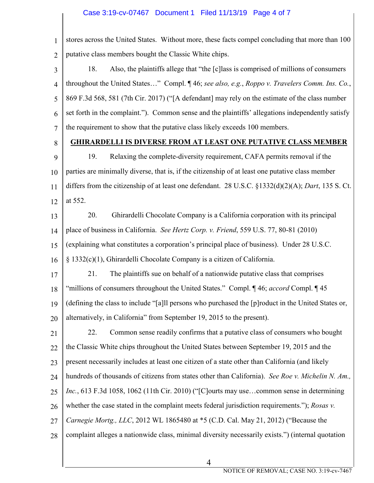# Case 3:19-cv-07467 Document 1 Filed 11/13/19 Page 4 of 7

| $\mathbf{1}$   | stores across the United States. Without more, these facts compel concluding that more than 100         |  |
|----------------|---------------------------------------------------------------------------------------------------------|--|
| $\overline{2}$ | putative class members bought the Classic White chips.                                                  |  |
| 3              | Also, the plaintiffs allege that "the [c] lass is comprised of millions of consumers<br>18.             |  |
| $\overline{4}$ | throughout the United States" Compl. ¶ 46; see also, e.g., Roppo v. Travelers Comm. Ins. Co.,           |  |
| 5              | 869 F.3d 568, 581 (7th Cir. 2017) ("[A defendant] may rely on the estimate of the class number          |  |
| 6              | set forth in the complaint."). Common sense and the plaintiffs' allegations independently satisfy       |  |
| 7              | the requirement to show that the putative class likely exceeds 100 members.                             |  |
| 8              | <u>GHIRARDELLI IS DIVERSE FROM AT LEAST ONE PUTATIVE CLASS MEMBER</u>                                   |  |
| 9              | Relaxing the complete-diversity requirement, CAFA permits removal if the<br>19.                         |  |
| 10             | parties are minimally diverse, that is, if the citizenship of at least one putative class member        |  |
| 11             | differs from the citizenship of at least one defendant. 28 U.S.C. §1332(d)(2)(A); Dart, 135 S. Ct.      |  |
| 12             | at 552.                                                                                                 |  |
| 13             | Ghirardelli Chocolate Company is a California corporation with its principal<br>20.                     |  |
| 14             | place of business in California. See Hertz Corp. v. Friend, 559 U.S. 77, 80-81 (2010)                   |  |
| 15             | (explaining what constitutes a corporation's principal place of business). Under 28 U.S.C.              |  |
| 16             | $§$ 1332(c)(1), Ghirardelli Chocolate Company is a citizen of California.                               |  |
| 17             | The plaintiffs sue on behalf of a nationwide putative class that comprises<br>21.                       |  |
| 18             | "millions of consumers throughout the United States." Compl. ¶46; <i>accord</i> Compl. ¶45              |  |
|                | 19   (defining the class to include "[a]ll persons who purchased the [p]roduct in the United States or, |  |
| 20             | alternatively, in California" from September 19, 2015 to the present).                                  |  |
| 21             | Common sense readily confirms that a putative class of consumers who bought<br>22.                      |  |
| 22             | the Classic White chips throughout the United States between September 19, 2015 and the                 |  |
| 23             | present necessarily includes at least one citizen of a state other than California (and likely          |  |
| 24             | hundreds of thousands of citizens from states other than California). See Roe v. Michelin N. Am.,       |  |
| 25             | Inc., 613 F.3d 1058, 1062 (11th Cir. 2010) ("[C]ourts may usecommon sense in determining                |  |
| 26             | whether the case stated in the complaint meets federal jurisdiction requirements."); Rosas v.           |  |
| 27             | Carnegie Mortg., LLC, 2012 WL 1865480 at *5 (C.D. Cal. May 21, 2012) ("Because the                      |  |
| 28             | complaint alleges a nationwide class, minimal diversity necessarily exists.") (internal quotation       |  |
|                |                                                                                                         |  |

4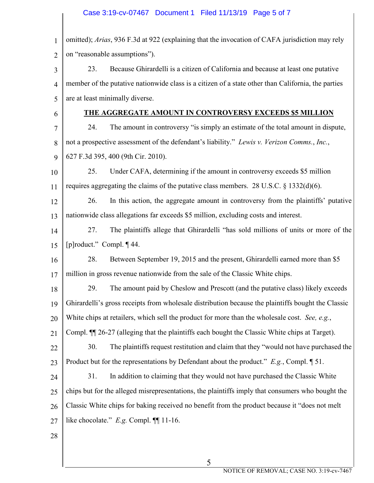| 1              | omitted); Arias, 936 F.3d at 922 (explaining that the invocation of CAFA jurisdiction may rely        |  |  |
|----------------|-------------------------------------------------------------------------------------------------------|--|--|
| $\overline{2}$ | on "reasonable assumptions").                                                                         |  |  |
| 3              | Because Ghirardelli is a citizen of California and because at least one putative<br>23.               |  |  |
| $\overline{4}$ | member of the putative nationwide class is a citizen of a state other than California, the parties    |  |  |
| 5              | are at least minimally diverse.                                                                       |  |  |
| 6              | THE AGGREGATE AMOUNT IN CONTROVERSY EXCEEDS \$5 MILLION                                               |  |  |
| 7              | 24.<br>The amount in controversy "is simply an estimate of the total amount in dispute,               |  |  |
| 8              | not a prospective assessment of the defendant's liability." Lewis v. Verizon Comms., Inc.,            |  |  |
| 9              | 627 F.3d 395, 400 (9th Cir. 2010).                                                                    |  |  |
| 10             | Under CAFA, determining if the amount in controversy exceeds \$5 million<br>25.                       |  |  |
| 11             | requires aggregating the claims of the putative class members. 28 U.S.C. $\S$ 1332(d)(6).             |  |  |
| 12             | 26.<br>In this action, the aggregate amount in controversy from the plaintiffs' putative              |  |  |
| 13             | nationwide class allegations far exceeds \$5 million, excluding costs and interest.                   |  |  |
| 14             | 27.<br>The plaintiffs allege that Ghirardelli "has sold millions of units or more of the              |  |  |
| 15             | [p]roduct." Compl. ¶ 44.                                                                              |  |  |
| 16             | 28.<br>Between September 19, 2015 and the present, Ghirardelli earned more than \$5                   |  |  |
| 17             | million in gross revenue nationwide from the sale of the Classic White chips.                         |  |  |
| 18             | 29.<br>The amount paid by Cheslow and Prescott (and the putative class) likely exceeds                |  |  |
| 19             | Ghirardelli's gross receipts from wholesale distribution because the plaintiffs bought the Classic    |  |  |
| 20             | White chips at retailers, which sell the product for more than the wholesale cost. See, e.g.,         |  |  |
| 21             | Compl. $\P$ 26-27 (alleging that the plaintiffs each bought the Classic White chips at Target).       |  |  |
| 22             | The plaintiffs request restitution and claim that they "would not have purchased the<br>30.           |  |  |
| 23             | Product but for the representations by Defendant about the product." $E.g.,$ Compl. $\llbracket 51$ . |  |  |
| 24             | 31.<br>In addition to claiming that they would not have purchased the Classic White                   |  |  |
| 25             | chips but for the alleged misrepresentations, the plaintiffs imply that consumers who bought the      |  |  |
| 26             | Classic White chips for baking received no benefit from the product because it "does not melt"        |  |  |
| 27             | like chocolate." $E.g.$ Compl. $\P$ 11-16.                                                            |  |  |
| 28             |                                                                                                       |  |  |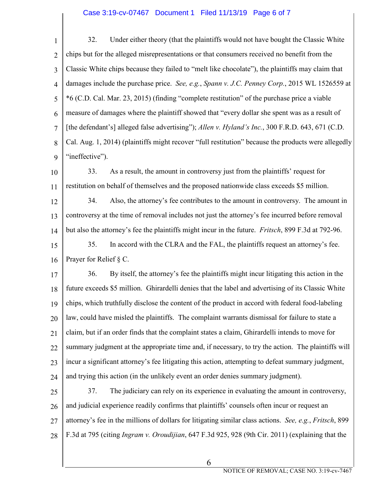#### Case 3:19-cv-07467 Document 1 Filed 11/13/19 Page 6 of 7

1  $\overline{2}$ 3 4 5 6 7 8 9 32. Under either theory (that the plaintiffs would not have bought the Classic White chips but for the alleged misrepresentations or that consumers received no benefit from the Classic White chips because they failed to "melt like chocolate"), the plaintiffs may claim that damages include the purchase price. *See, e.g.*, *Spann v. J.C. Penney Corp.*, 2015 WL 1526559 at \*6 (C.D. Cal. Mar. 23, 2015) (finding "complete restitution" of the purchase price a viable measure of damages where the plaintiff showed that "every dollar she spent was as a result of [the defendant's] alleged false advertising"); *Allen v. Hyland's Inc.*, 300 F.R.D. 643, 671 (C.D. Cal. Aug. 1, 2014) (plaintiffs might recover "full restitution" because the products were allegedly "ineffective").

10 11 33. As a result, the amount in controversy just from the plaintiffs' request for restitution on behalf of themselves and the proposed nationwide class exceeds \$5 million.

12 13 14 34. Also, the attorney's fee contributes to the amount in controversy. The amount in controversy at the time of removal includes not just the attorney's fee incurred before removal but also the attorney's fee the plaintiffs might incur in the future. *Fritsch*, 899 F.3d at 792-96.

15 16 35. In accord with the CLRA and the FAL, the plaintiffs request an attorney's fee. Prayer for Relief § C.

17 18 19 20 21 22 23  $24$ 36. By itself, the attorney's fee the plaintiffs might incur litigating this action in the future exceeds \$5 million. Ghirardelli denies that the label and advertising of its Classic White chips, which truthfully disclose the content of the product in accord with federal food-labeling law, could have misled the plaintiffs. The complaint warrants dismissal for failure to state a claim, but if an order finds that the complaint states a claim, Ghirardelli intends to move for summary judgment at the appropriate time and, if necessary, to try the action. The plaintiffs will incur a significant attorney's fee litigating this action, attempting to defeat summary judgment, and trying this action (in the unlikely event an order denies summary judgment).

25 26 27 28 37. The judiciary can rely on its experience in evaluating the amount in controversy, and judicial experience readily confirms that plaintiffs' counsels often incur or request an attorney's fee in the millions of dollars for litigating similar class actions. *See, e.g.*, *Fritsch*, 899 F.3d at 795 (citing *Ingram v. Oroudijian*, 647 F.3d 925, 928 (9th Cir. 2011) (explaining that the

6